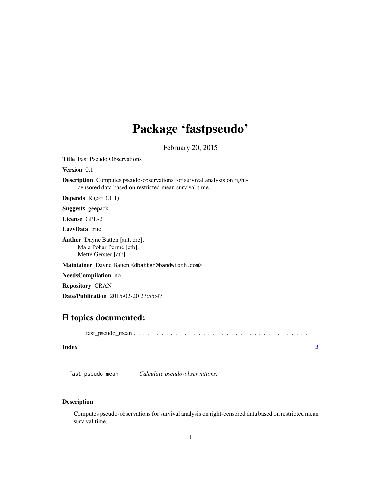## <span id="page-0-0"></span>Package 'fastpseudo'

February 20, 2015

Title Fast Pseudo Observations

Version 0.1

Description Computes pseudo-observations for survival analysis on rightcensored data based on restricted mean survival time.

**Depends**  $R$  ( $>= 3.1.1$ )

Suggests geepack

License GPL-2

LazyData true

Author Dayne Batten [aut, cre], Maja Pohar Perme [ctb], Mette Gerster [ctb]

Maintainer Dayne Batten <dbatten@bandwidth.com>

NeedsCompilation no

Repository CRAN

Date/Publication 2015-02-20 23:55:47

### R topics documented:

| Index |  |
|-------|--|

fast\_pseudo\_mean *Calculate pseudo-observations.*

#### Description

Computes pseudo-observations for survival analysis on right-censored data based on restricted mean survival time.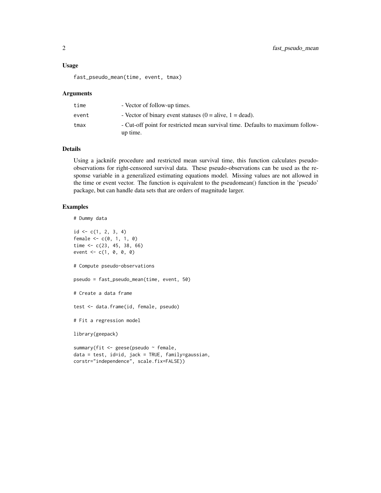#### Usage

fast\_pseudo\_mean(time, event, tmax)

#### Arguments

| time  | - Vector of follow-up times.                                                               |
|-------|--------------------------------------------------------------------------------------------|
| event | - Vector of binary event statuses $(0 = \text{alive}, 1 = \text{dead})$ .                  |
| tmax  | - Cut-off point for restricted mean survival time. Defaults to maximum follow-<br>up time. |

#### Details

Using a jacknife procedure and restricted mean survival time, this function calculates pseudoobservations for right-censored survival data. These pseudo-observations can be used as the response variable in a generalized estimating equations model. Missing values are not allowed in the time or event vector. The function is equivalent to the pseudomean() function in the 'pseudo' package, but can handle data sets that are orders of magnitude larger.

#### Examples

```
# Dummy data
id \leftarrow c(1, 2, 3, 4)female <-c(0, 1, 1, 0)time <- c(23, 45, 38, 66)
event <- c(1, 0, 0, 0)
# Compute pseudo-observations
pseudo = fast_pseudo_mean(time, event, 50)
# Create a data frame
test <- data.frame(id, female, pseudo)
# Fit a regression model
library(geepack)
summary(fit <- geese(pseudo ~ female,
data = test, id=id, jack = TRUE, family=gaussian,
corstr="independence", scale.fix=FALSE))
```